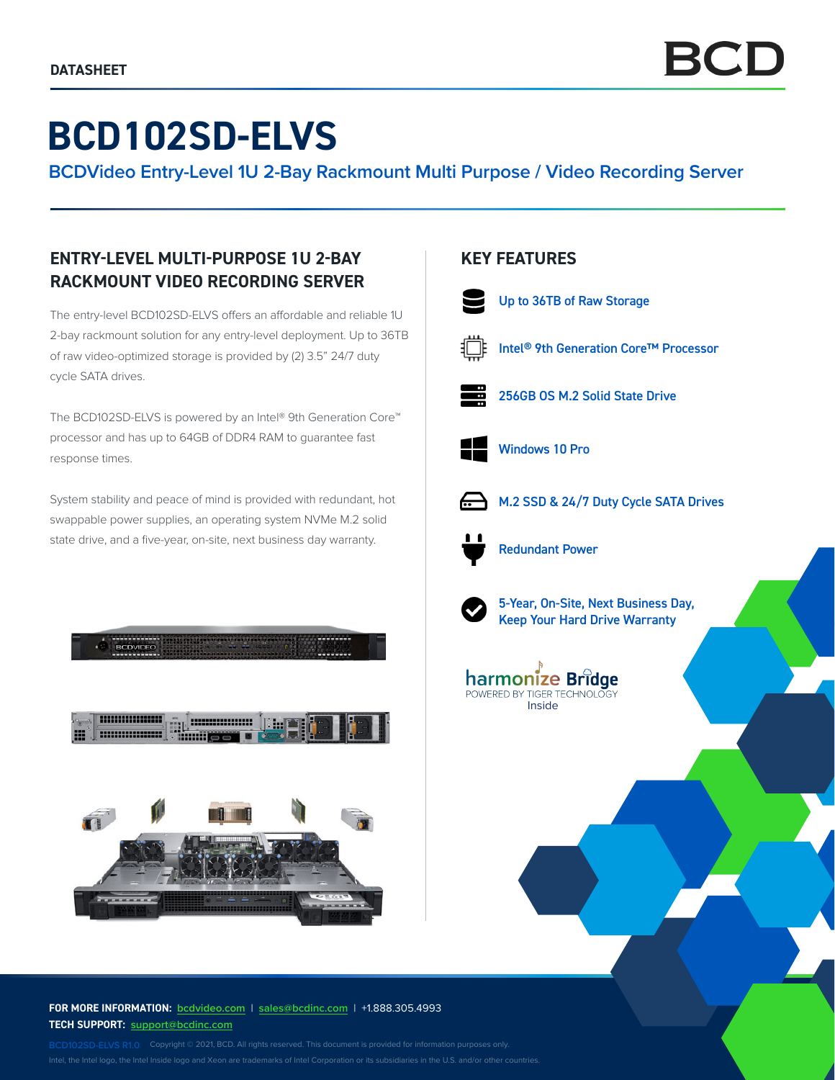# **BCD102SD-ELVS**

**BCDVideo Entry-Level 1U 2-Bay Rackmount Multi Purpose / Video Recording Server**

# **ENTRY-LEVEL MULTI-PURPOSE 1U 2-BAY RACKMOUNT VIDEO RECORDING SERVER**

The entry-level BCD102SD-ELVS offers an affordable and reliable 1U 2-bay rackmount solution for any entry-level deployment. Up to 36TB of raw video-optimized storage is provided by (2) 3.5" 24/7 duty cycle SATA drives.

The BCD102SD-ELVS is powered by an Intel® 9th Generation Core™ processor and has up to 64GB of DDR4 RAM to guarantee fast response times.

System stability and peace of mind is provided with redundant, hot swappable power supplies, an operating system NVMe M.2 solid state drive, and a five-year, on-site, next business day warranty.



#### **FOR MORE INFORMATION: bcdvideo.com** | **[sales@bcdinc.com](mailto:sales%40bcdinc.com?subject=)** | +1.888.305.4993 **TECH SUPPORT: [support@bcdinc.com](mailto:support%40bcdinc.com?subject=)**

Intel, the Intel logo, the Intel Inside logo and Xeon are trademarks of Intel Corporation or its subsidiaries in the U.S. and/or other countries.

## **KEY FEATURES**